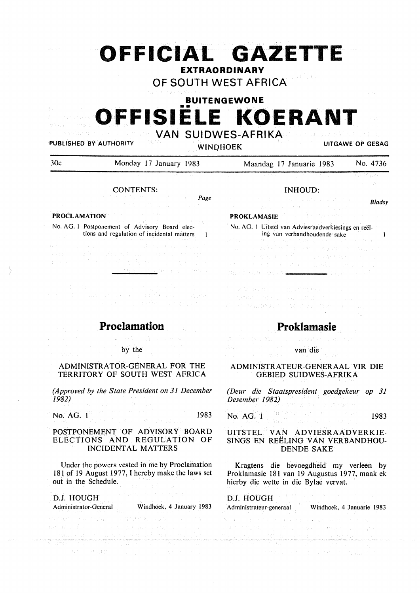# **OFFICIAL GAZETTE**

## **EXTRAORDINARY**

**OF SOUTH WEST AFRICA** 

**BUITENGEWONE** 

# •• **OFFISIELE KOERANT**

andonia **VAN SUIDWES-AFRIKA**  PUBLISHED BY AUTHORITY

**WINOHOEK UITGAWE OP GESAG** 

30c Monday 17 January 1983

Maandag 17 Januarie 1983 No. 4736

## CONTENTS:

Page

## **PROCLAMATION**

医精力

 $\pm 0.7$ 

No. AG. I Postponement of Advisory Board elections and regulation of incidental matters

Edwin and the second

a sa Tina natina ay isang nagpalawasa sa siya ki



by the

ADMINISTRATOR-GENERAL FOR THE TERRITORY OF SOUTH WEST AFRICA

*(Approved by the State President on 31 December /982)*   $\sigma D = 3\pi c^2$ 

No. AG. 1 1983

## POSTPONEMENT OF ADVISORY BOARD ELECTIONS AND REGULATION OF INCIDENTAL MATTERS

Under the powers vested in me by Proclamation 181 of 19 August 1977, I hereby make the laws set out in the Schedule.

| D.J. HOUGH POINT AND REAL PROPERTY.                                          |                          |  |  |  |  |  |
|------------------------------------------------------------------------------|--------------------------|--|--|--|--|--|
| Administrator-General                                                        | Windhoek, 4 January 1983 |  |  |  |  |  |
| 《不通的》 用: 2005年, \$1250 / 100 / 相连, 500 / 245 / 245 / 250 / 200 / 200 / 200 / |                          |  |  |  |  |  |
| 的复数医学技术 医心室的 不透明 化硫酸医硫酸 医硬化结核 医心包的 医心包                                       |                          |  |  |  |  |  |

INHOUD:

rdi i si

*Bladsy* 

## **PROKLAMASIE**

No. AG. 1 Uitstel van Adviesraadverkiesings en reëling van vcrbandhoudendc sake  $\mathbf{1}$ with a will be proposed to be a set a matematika (h. 1939).<br>1930 - Johann Marie, matematika (h. 1930).<br>1930 - Johann Marie, matematika (h. 1911). ster in Katalung vor <mark>tre</mark>

 $\begin{split} \mathbb{E}_{\mathcal{A}_{\mathcal{A}}}\left[\mathcal{A}_{\mathcal{A}}^{(1)}\mathcal{A}_{\mathcal{A}}^{(2)}\mathcal{A}_{\mathcal{A}}^{(3)}\right] & = \mathbb{E}_{\mathcal{A}}\left[\mathcal{A}_{\mathcal{A}}^{(1)}\mathcal{A}_{\mathcal{A}}^{(3)}\mathcal{A}_{\mathcal{A}}^{(3)}\right] & = \mathbb{E}_{\mathcal{A}}\left[\mathcal{A}_{\mathcal{A}}^{(2)}\mathcal{A}_{\mathcal{A}}^{(3)}\mathcal{A}_{\mathcal{A}}^{(3)}\right] & = \mathbb{E}_{\math$ BALLAN MALTINA EN LINGUADA EN 1994, LLEI EL LOCAL EL

## **Proklamasie**

van die

## ADMINISTRATEUR-GENERAAL VIR DIE GEBIED SUIDWES-AFRIKA

*(Deur die Staatspresident goedgekeur op 31 Desember 1982)* 

No.  $AG$ . 1983 and 200 and 200 and 200 and 200 and 200 and 200 and 200 and 200 and 200 and 200 and 200 and 200 and 200 and 200 and 200 and 200 and 200 and 200 and 200 and 200 and 200 and 200 and 200 and 200 and 200 and 200

## UITSTEL VAN ADVIESRAADVERKIE-SINGS EN REELING VAN VERBANDHOU-DENDE SAKE

Kragtens die bevoegdheid my verleen by Proklamasie 181 van 19 Augustus 1977, maak ek hierby die wette in die Bylae vervat.

|                                      |  | Administrateur-generaal Windhoek, 4 Januarie 1983 |  |
|--------------------------------------|--|---------------------------------------------------|--|
| "我们好的人的,我们,我们能做到什么,我们能够做到什么?" 化      |  |                                                   |  |
| 医手术医手术 医输入 医心内障 化异丙酸医异丙酸 医骨折 医心包 医骨板 |  |                                                   |  |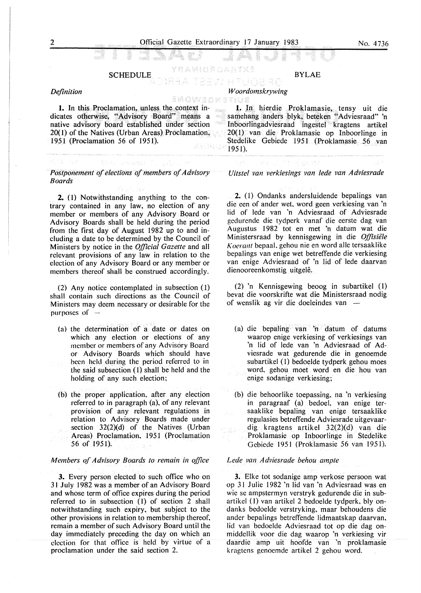#### yramurdahtxe SCHEDULE

#### *Definition*

*W oordomskrywing* 

**1.** In this Proclamation, unless the context indicates otherwise, ''Advisory Board" means a native advisory board established under section 20( I) of the Natives (Urban Areas) Proclamation, 1951 (Proclamation 56 of 1951).

## Aby, Joenand C. *Postponement of elections of members of Advisory Boards*

**2.** (I) Notwithstanding anything to the contrary contained in any law, no election of any member or members of any Advisory Board or Advisory Boards shall be held during the period from the first day of August 1982 up to and including a date to be determined by the Council of Ministers by notice in the *Official Gazette* and all relevant provisions of any law in relation to the election of any Advisory Board or any member or members thereof shall be construed accordingly.

(2) Any notice contemplated in subsection (1) shall contain such directions as the Council of Ministers may deem necessary or desirable for the purposes of -

- (a) the determination of a date or dates on which any election or elections of any member or members of any Advisory Board or Advisory Boards which should have been held during the period referred to in the said subsection ( l) shall be held and the holding of any such election;
- (b) the proper application, after any election referred to in paragraph (a), of any relevant provision of any relevant regulations in relation to Advisory Boards made under section  $32(2)(d)$  of the Natives (Urban Areas) Proclamation, 1951 (Proclamation 56 of 1951).

## *Members qf Advisory Boards to remain in office*

**3.** Every person elected to such office who on 31 July 1982 was a member of an Advisory Board and whose term of office expires during the period referred to in subsection (1) of section 2 shall notwithstanding such expiry, but subject to the other provisions in relation to membership thereof, remain a member of such Advisory Board until the day immediately preceding the day on which an election for that office is held by virtue of a proclamation under the said section 2.

1. In hierdie Proklamasie, tensy uit die samehang anders blyk, beteken "Adviesraad" 'n Inboorlingadviesraad ingestel kragtens artikel 20(1) van die Proklamasie op Inboorlinge in Stedelike Gebiede 1951 (Proklamasie 56 van 195 I).

BYLAE

## and of the discolut

*Uitstel van verkiesings van lede van Adviesrade* 

2. (I) Ondanks andersluidende bepalings van die een of ander wet, word geen verkiesing van 'n lid of lede van 'n Adviesraad of Adviesrade gcdurende die tydperk vanaf die eerste dag van Augustus 1982 tot en met 'n datum wat die Ministersraad by kennisgewing in die Offisiële *Koerant* bepaal, gehou nie en word alle tersaaklike bepalings van enige wet betreffende die verkiesing van enige Adviesraad of 'n lid of lede daarvan dienooreenkomstig uitgelê.

(2) 'n Kennisgewing beoog in subartikel (1) bevat die voorskrifte wat die Ministersraad nodig of wenslik ag vir die doeleindes van -

- ( a) die bepaling van 'n datum of datums waarop enige verkiesing of verkiesings van 'n lid of lede van 'n Adviesraad of Adviesrade wat gedurende die in genoemde subartikel ( I) bedoelde tydperk gehou moes word. gehou moet word en die hou van enige sodanige verkiesing;
- (b) die behoorlike toepassing, na 'n verkiesing in paragraaf (a) bedoel. van enige tersaaklike bepaling van enige tersaaklike regulasies betreffende Adviesrade uitgevaardig kragtens artikel 32(2)(d) van die Proklamasie op Inboorlinge in Stedelike Gebiede 1951 (Proklamasie 56 van 1951).

#### *Lede van Adviesrade behou ample*

**3.** Elke tot sodanige amp verkose persoon wat op 31 Julie 1982 'n lid van 'n Adviesraad was en wie se ampstermyn verstryk gedurende die in subartikel (I) van artikel 2 bedoelde tydperk, bly ondanks bedoelde verstryking, maar behoudens die ander bepalings betreffende lidmaatskap daarvan, lid van bedoelde Adviesraad tot op die dag onmiddcllik voor die dag waarop 'n verkiesing vir daardie amp uit hoofde van 'n proklamasie kragtens genoemde artikel 2 gehou word.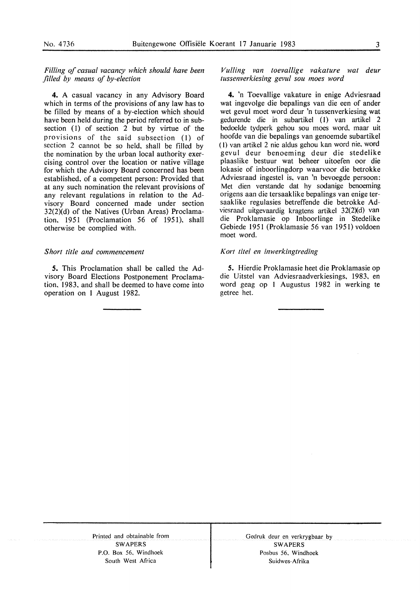*Filling of casual vacancy which should have been filled by means of by-election* 

4. A casual vacancy in any Advisory Board which in terms of the provisions of any law has to be filled by means of a by-election which should have been held during the period referred to in subsection  $(1)$  of section 2 but by virtue of the provisions of the said subsection (l) of section 2 cannot be so held, shall be filled by the nomination by the urban local authority exercising control over the location or native village for which the Advisory Board concerned has been established, of a competent person: Provided that at any such nomination the relevant provisions of any relevant regulations in relation to the Advisory Board concerned made under section 32(2)(d) of the Natives (Urban Areas) Proclamation,  $1951$  (Proclamation 56 of 1951), shall otherwise be complied with.

## *Short title and commencement*

*S.* This Proclamation shall be called the Advisory Board Elections Postponement Proclamation, 1983. and shall be deemed to have come into operation on I August 1982.

*Vu/ling van toevallige vakature wat deur tussenverkiesing gevul sou moes word* 

4. 'n Toevallige vakature in enige Adviesraad wat ingevolge die bepalings van die een of ander wet gevul moet word deur 'n tussenverkiesing wat gedurende die in subartikel (1) van artikel 2 bedoelde tydperk gehou sou moes word, maar uit hoofde van die bepalings van genoemde subartikel (I) van artikel 2 nie aldus gehou kan word nie, word gevul deur benoeming deur die stedelike plaaslike bestuur wat beheer uitoefen oor die lokasie of inboorlingdorp waarvoor die betrokke Adviesraad ingestel is, van 'n bevoegde persoon: Met dien verstande dat hy sodanige benoeming origens aan die tersaaklike bepalings van enige tersaaklike regulasies betreffende die betrokke Adviesraad uitgevaardig kragtens artikel  $32(2)(d)$  van die Proklamasie op Inboorlinge in Stedelike Gebiede 1951 (Proklamasie 56 van 1951) voldoen moet word.

## Kori *titel en inwerkingtreding*

*S.* Hierdie Proklamasie heet die Proklamasie op die Uitstel van Adviesraadverkiesings, 1983, en word geag op I Augustus 1982 in werking te getree het.

Printed and obtainable from SWAPERS P.O. Box 56. Windhoek South West Africa